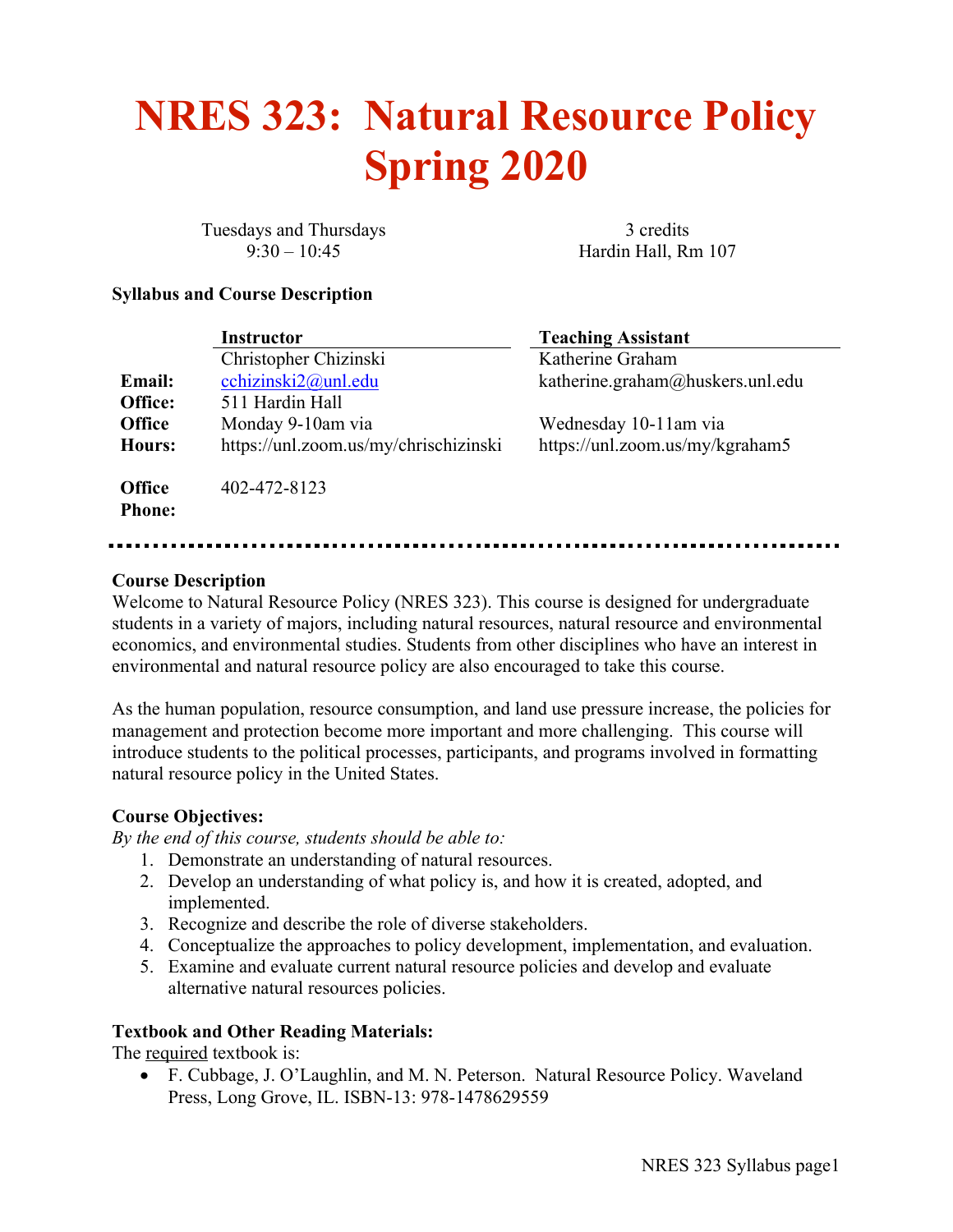# **NRES 323: Natural Resource Policy Spring 2020**

Tuesdays and Thursdays 3 credits

9:30 – 10:45 Hardin Hall, Rm 107

#### **Syllabus and Course Description**

|                                | <b>Instructor</b>                     | <b>Teaching Assistant</b>        |
|--------------------------------|---------------------------------------|----------------------------------|
|                                | Christopher Chizinski                 | Katherine Graham                 |
| <b>Email:</b>                  | cchizinski2@unl.edu                   | katherine.graham@huskers.unl.edu |
| Office:                        | 511 Hardin Hall                       |                                  |
| <b>Office</b>                  | Monday 9-10am via                     | Wednesday 10-11am via            |
| Hours:                         | https://unl.zoom.us/my/chrischizinski | https://unl.zoom.us/my/kgraham5  |
| <b>Office</b><br><b>Phone:</b> | 402-472-8123                          |                                  |

#### **Course Description**

Welcome to Natural Resource Policy (NRES 323). This course is designed for undergraduate students in a variety of majors, including natural resources, natural resource and environmental economics, and environmental studies. Students from other disciplines who have an interest in environmental and natural resource policy are also encouraged to take this course.

As the human population, resource consumption, and land use pressure increase, the policies for management and protection become more important and more challenging. This course will introduce students to the political processes, participants, and programs involved in formatting natural resource policy in the United States.

#### **Course Objectives:**

*By the end of this course, students should be able to:*

- 1. Demonstrate an understanding of natural resources.
- 2. Develop an understanding of what policy is, and how it is created, adopted, and implemented.
- 3. Recognize and describe the role of diverse stakeholders.
- 4. Conceptualize the approaches to policy development, implementation, and evaluation.
- 5. Examine and evaluate current natural resource policies and develop and evaluate alternative natural resources policies.

#### **Textbook and Other Reading Materials:**

The required textbook is:

• F. Cubbage, J. O'Laughlin, and M. N. Peterson. Natural Resource Policy. Waveland Press, Long Grove, IL. ISBN-13: 978-1478629559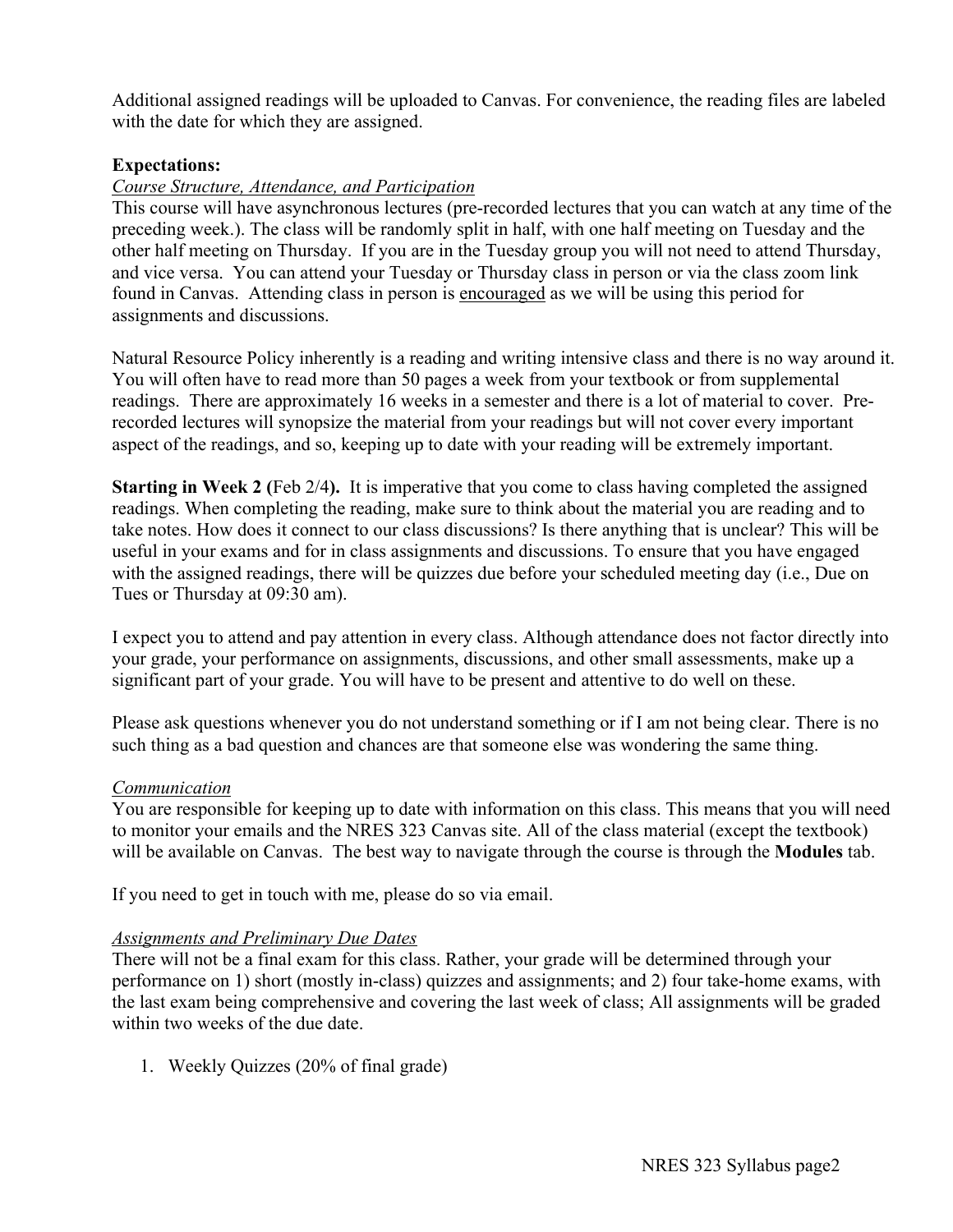Additional assigned readings will be uploaded to Canvas. For convenience, the reading files are labeled with the date for which they are assigned.

#### **Expectations:**

#### *Course Structure, Attendance, and Participation*

This course will have asynchronous lectures (pre-recorded lectures that you can watch at any time of the preceding week.). The class will be randomly split in half, with one half meeting on Tuesday and the other half meeting on Thursday. If you are in the Tuesday group you will not need to attend Thursday, and vice versa. You can attend your Tuesday or Thursday class in person or via the class zoom link found in Canvas. Attending class in person is encouraged as we will be using this period for assignments and discussions.

Natural Resource Policy inherently is a reading and writing intensive class and there is no way around it. You will often have to read more than 50 pages a week from your textbook or from supplemental readings. There are approximately 16 weeks in a semester and there is a lot of material to cover. Prerecorded lectures will synopsize the material from your readings but will not cover every important aspect of the readings, and so, keeping up to date with your reading will be extremely important.

**Starting in Week 2 (Feb 2/4).** It is imperative that you come to class having completed the assigned readings. When completing the reading, make sure to think about the material you are reading and to take notes. How does it connect to our class discussions? Is there anything that is unclear? This will be useful in your exams and for in class assignments and discussions. To ensure that you have engaged with the assigned readings, there will be quizzes due before your scheduled meeting day (i.e., Due on Tues or Thursday at 09:30 am).

I expect you to attend and pay attention in every class. Although attendance does not factor directly into your grade, your performance on assignments, discussions, and other small assessments, make up a significant part of your grade. You will have to be present and attentive to do well on these.

Please ask questions whenever you do not understand something or if I am not being clear. There is no such thing as a bad question and chances are that someone else was wondering the same thing.

#### *Communication*

You are responsible for keeping up to date with information on this class. This means that you will need to monitor your emails and the NRES 323 Canvas site. All of the class material (except the textbook) will be available on Canvas. The best way to navigate through the course is through the **Modules** tab.

If you need to get in touch with me, please do so via email.

#### *Assignments and Preliminary Due Dates*

There will not be a final exam for this class. Rather, your grade will be determined through your performance on 1) short (mostly in-class) quizzes and assignments; and 2) four take-home exams, with the last exam being comprehensive and covering the last week of class; All assignments will be graded within two weeks of the due date.

1. Weekly Quizzes (20% of final grade)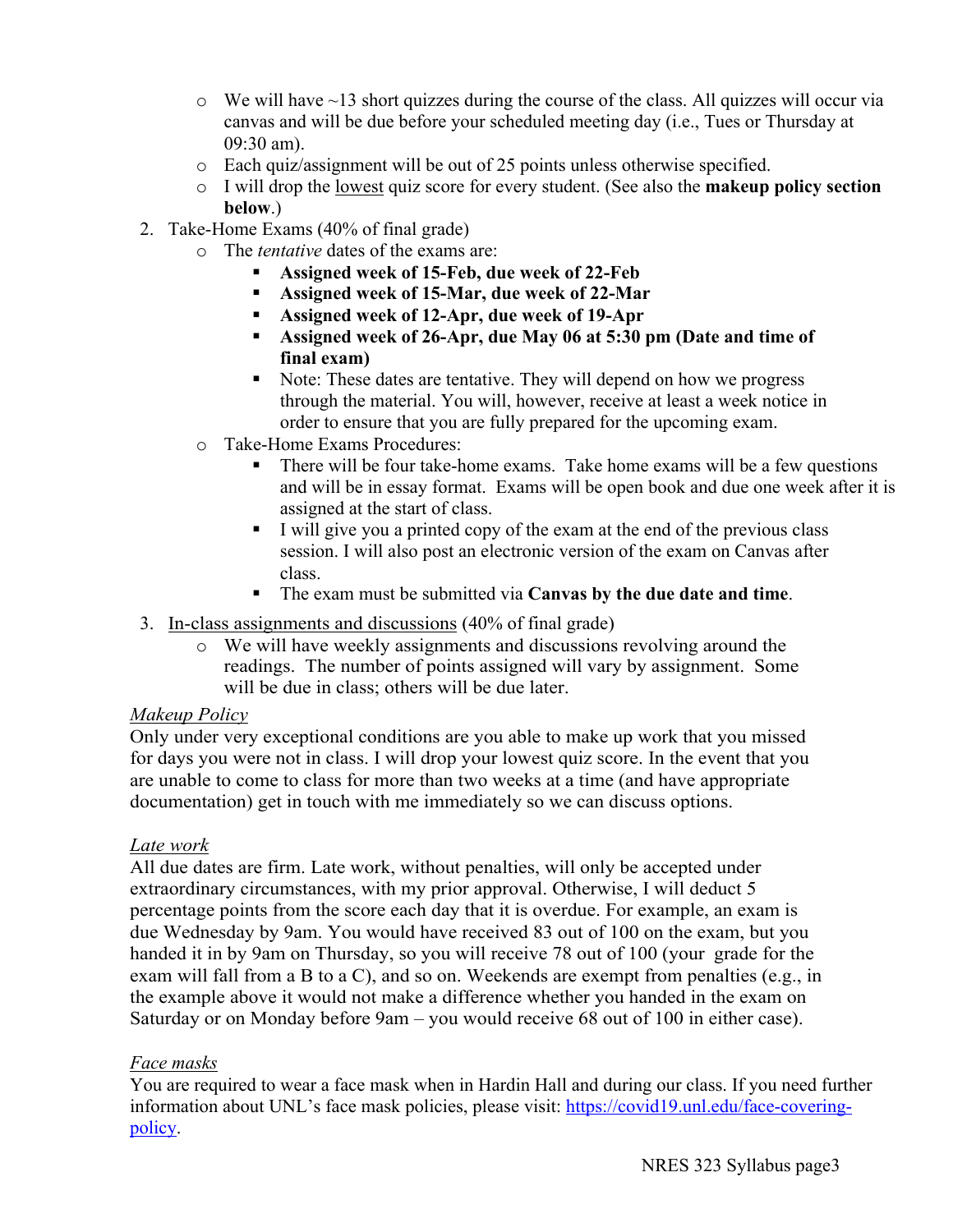- $\circ$  We will have  $\sim$  13 short quizzes during the course of the class. All quizzes will occur via canvas and will be due before your scheduled meeting day (i.e., Tues or Thursday at 09:30 am).
- o Each quiz/assignment will be out of 25 points unless otherwise specified.
- o I will drop the lowest quiz score for every student. (See also the **makeup policy section below**.)
- 2. Take-Home Exams (40% of final grade)
	- o The *tentative* dates of the exams are:
		- § **Assigned week of 15-Feb, due week of 22-Feb**
		- § **Assigned week of 15-Mar, due week of 22-Mar**
		- § **Assigned week of 12-Apr, due week of 19-Apr**
		- § **Assigned week of 26-Apr, due May 06 at 5:30 pm (Date and time of final exam)**
		- Note: These dates are tentative. They will depend on how we progress through the material. You will, however, receive at least a week notice in order to ensure that you are fully prepared for the upcoming exam.
	- o Take-Home Exams Procedures:
		- There will be four take-home exams. Take home exams will be a few questions and will be in essay format. Exams will be open book and due one week after it is assigned at the start of class.
		- § I will give you a printed copy of the exam at the end of the previous class session. I will also post an electronic version of the exam on Canvas after class.
		- § The exam must be submitted via **Canvas by the due date and time**.
- 3. In-class assignments and discussions (40% of final grade)
	- o We will have weekly assignments and discussions revolving around the readings. The number of points assigned will vary by assignment. Some will be due in class; others will be due later.

## *Makeup Policy*

Only under very exceptional conditions are you able to make up work that you missed for days you were not in class. I will drop your lowest quiz score. In the event that you are unable to come to class for more than two weeks at a time (and have appropriate documentation) get in touch with me immediately so we can discuss options.

## *Late work*

All due dates are firm. Late work, without penalties, will only be accepted under extraordinary circumstances, with my prior approval. Otherwise, I will deduct 5 percentage points from the score each day that it is overdue. For example, an exam is due Wednesday by 9am. You would have received 83 out of 100 on the exam, but you handed it in by 9am on Thursday, so you will receive 78 out of 100 (your grade for the exam will fall from a B to a C), and so on. Weekends are exempt from penalties (e.g., in the example above it would not make a difference whether you handed in the exam on Saturday or on Monday before 9am – you would receive 68 out of 100 in either case).

## *Face masks*

You are required to wear a face mask when in Hardin Hall and during our class. If you need further information about UNL's face mask policies, please visit: https://covid19.unl.edu/face-coveringpolicy.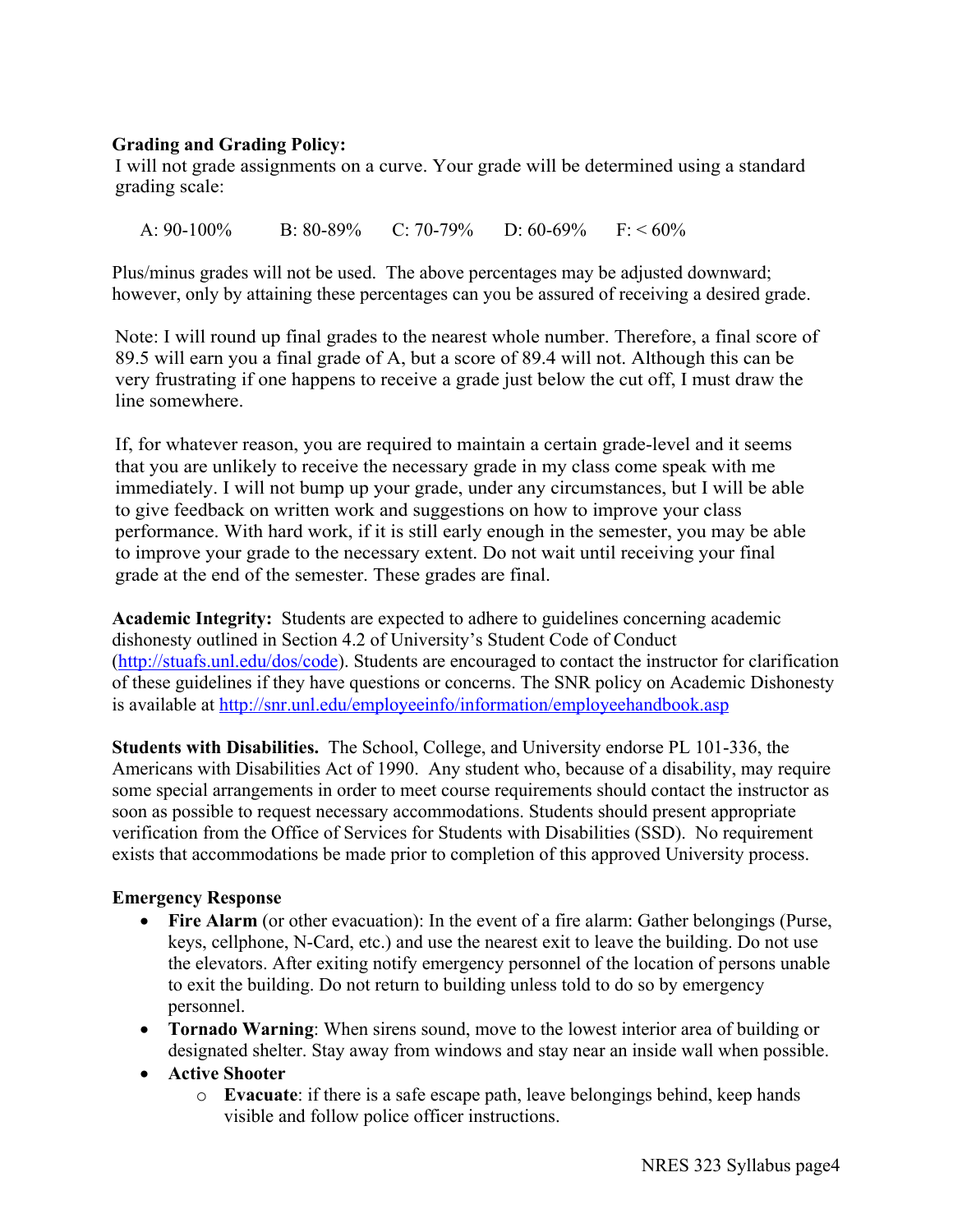## **Grading and Grading Policy:**

I will not grade assignments on a curve. Your grade will be determined using a standard grading scale:

A:  $90-100\%$  B:  $80-89\%$  C:  $70-79\%$  D:  $60-69\%$  F:  $\leq 60\%$ 

Plus/minus grades will not be used. The above percentages may be adjusted downward; however, only by attaining these percentages can you be assured of receiving a desired grade.

Note: I will round up final grades to the nearest whole number. Therefore, a final score of 89.5 will earn you a final grade of A, but a score of 89.4 will not. Although this can be very frustrating if one happens to receive a grade just below the cut off, I must draw the line somewhere.

If, for whatever reason, you are required to maintain a certain grade-level and it seems that you are unlikely to receive the necessary grade in my class come speak with me immediately. I will not bump up your grade, under any circumstances, but I will be able to give feedback on written work and suggestions on how to improve your class performance. With hard work, if it is still early enough in the semester, you may be able to improve your grade to the necessary extent. Do not wait until receiving your final grade at the end of the semester. These grades are final.

**Academic Integrity:** Students are expected to adhere to guidelines concerning academic dishonesty outlined in Section 4.2 of University's Student Code of Conduct (http://stuafs.unl.edu/dos/code). Students are encouraged to contact the instructor for clarification of these guidelines if they have questions or concerns. The SNR policy on Academic Dishonesty is available at http://snr.unl.edu/employeeinfo/information/employeehandbook.asp

**Students with Disabilities.** The School, College, and University endorse PL 101-336, the Americans with Disabilities Act of 1990. Any student who, because of a disability, may require some special arrangements in order to meet course requirements should contact the instructor as soon as possible to request necessary accommodations. Students should present appropriate verification from the Office of Services for Students with Disabilities (SSD). No requirement exists that accommodations be made prior to completion of this approved University process.

## **Emergency Response**

- **Fire Alarm** (or other evacuation): In the event of a fire alarm: Gather belongings (Purse, keys, cellphone, N-Card, etc.) and use the nearest exit to leave the building. Do not use the elevators. After exiting notify emergency personnel of the location of persons unable to exit the building. Do not return to building unless told to do so by emergency personnel.
- **Tornado Warning**: When sirens sound, move to the lowest interior area of building or designated shelter. Stay away from windows and stay near an inside wall when possible.
- **Active Shooter**
	- o **Evacuate**: if there is a safe escape path, leave belongings behind, keep hands visible and follow police officer instructions.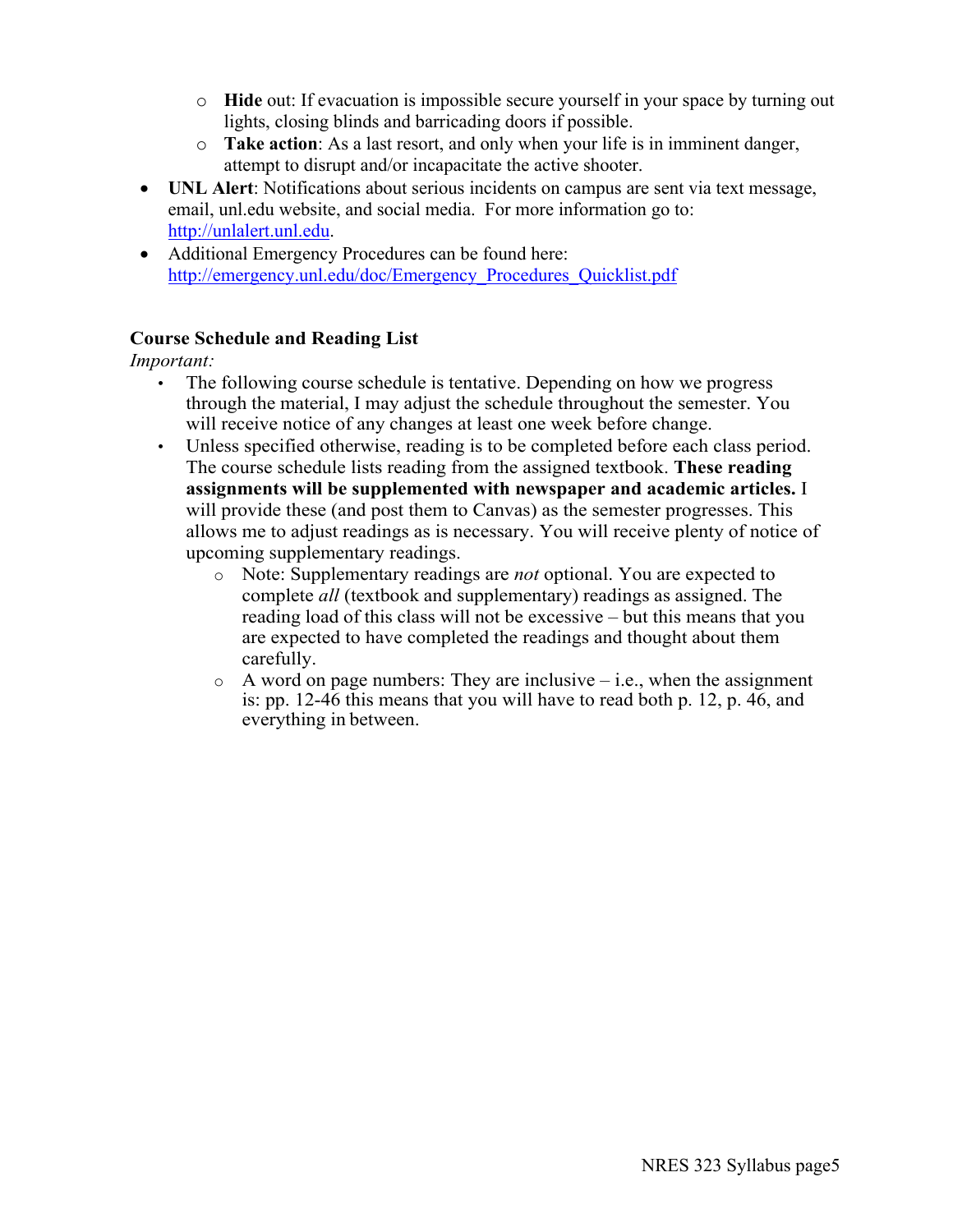- o **Hide** out: If evacuation is impossible secure yourself in your space by turning out lights, closing blinds and barricading doors if possible.
- o **Take action**: As a last resort, and only when your life is in imminent danger, attempt to disrupt and/or incapacitate the active shooter.
- **UNL Alert**: Notifications about serious incidents on campus are sent via text message, email, unl.edu website, and social media. For more information go to: http://unlalert.unl.edu.
- Additional Emergency Procedures can be found here: http://emergency.unl.edu/doc/Emergency\_Procedures\_Quicklist.pdf

## **Course Schedule and Reading List**

*Important:*

- The following course schedule is tentative. Depending on how we progress through the material, I may adjust the schedule throughout the semester. You will receive notice of any changes at least one week before change.
- Unless specified otherwise, reading is to be completed before each class period. The course schedule lists reading from the assigned textbook. **These reading assignments will be supplemented with newspaper and academic articles.** I will provide these (and post them to Canvas) as the semester progresses. This allows me to adjust readings as is necessary. You will receive plenty of notice of upcoming supplementary readings.
	- o Note: Supplementary readings are *not* optional. You are expected to complete *all* (textbook and supplementary) readings as assigned. The reading load of this class will not be excessive – but this means that you are expected to have completed the readings and thought about them carefully.
	- $\circ$  A word on page numbers: They are inclusive i.e., when the assignment is: pp. 12-46 this means that you will have to read both p. 12, p. 46, and everything in between.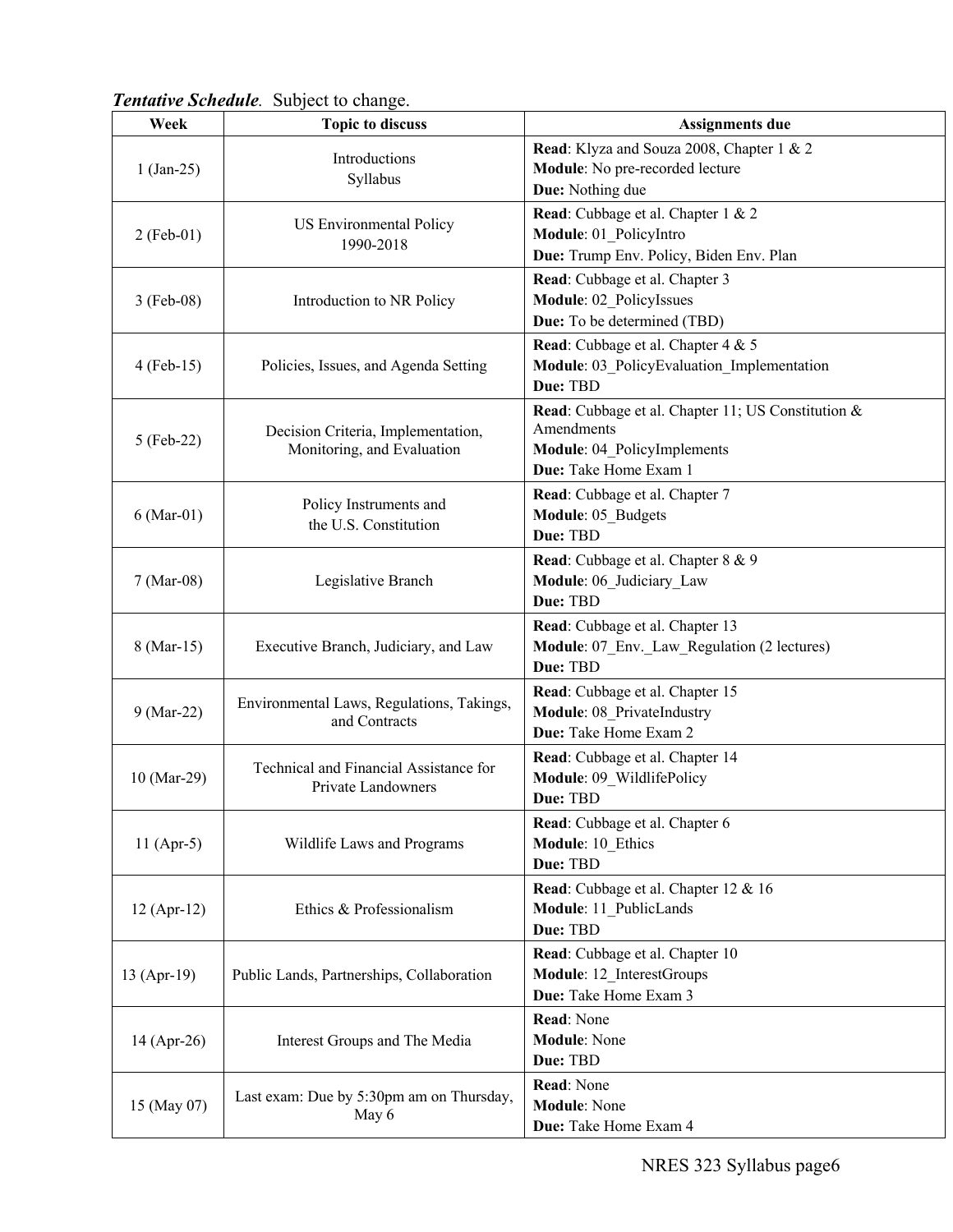| <b>Tentative Schedule.</b> Subject to change. |  |
|-----------------------------------------------|--|
|-----------------------------------------------|--|

| Week          | <b>Topic to discuss</b>                                          | <b>Assignments due</b>                                                           |
|---------------|------------------------------------------------------------------|----------------------------------------------------------------------------------|
|               | Introductions<br>Syllabus                                        | Read: Klyza and Souza 2008, Chapter 1 & 2                                        |
| $1 (Jan-25)$  |                                                                  | Module: No pre-recorded lecture                                                  |
|               |                                                                  | Due: Nothing due                                                                 |
|               | US Environmental Policy<br>1990-2018                             | Read: Cubbage et al. Chapter 1 & 2                                               |
| $2(Feb-01)$   |                                                                  | Module: 01 PolicyIntro                                                           |
|               |                                                                  | Due: Trump Env. Policy, Biden Env. Plan                                          |
|               | Introduction to NR Policy                                        | Read: Cubbage et al. Chapter 3                                                   |
| $3$ (Feb-08)  |                                                                  | Module: 02 PolicyIssues<br>Due: To be determined (TBD)                           |
|               | Policies, Issues, and Agenda Setting                             |                                                                                  |
|               |                                                                  | Read: Cubbage et al. Chapter 4 & 5<br>Module: 03 PolicyEvaluation Implementation |
| $4$ (Feb-15)  |                                                                  | Due: TBD                                                                         |
|               | Decision Criteria, Implementation,<br>Monitoring, and Evaluation | Read: Cubbage et al. Chapter 11; US Constitution &                               |
|               |                                                                  | Amendments                                                                       |
| 5 (Feb-22)    |                                                                  | Module: 04 PolicyImplements                                                      |
|               |                                                                  | Due: Take Home Exam 1                                                            |
|               | Policy Instruments and<br>the U.S. Constitution                  | Read: Cubbage et al. Chapter 7                                                   |
| $6$ (Mar-01)  |                                                                  | Module: 05 Budgets                                                               |
|               |                                                                  | Due: TBD                                                                         |
|               | Legislative Branch                                               | Read: Cubbage et al. Chapter 8 & 9                                               |
| 7 (Mar-08)    |                                                                  | Module: 06 Judiciary Law                                                         |
|               |                                                                  | Due: TBD                                                                         |
|               | Executive Branch, Judiciary, and Law                             | Read: Cubbage et al. Chapter 13                                                  |
| 8 (Mar-15)    |                                                                  | Module: 07 Env. Law Regulation (2 lectures)                                      |
|               |                                                                  | Due: TBD                                                                         |
|               | Environmental Laws, Regulations, Takings,<br>and Contracts       | Read: Cubbage et al. Chapter 15                                                  |
| 9 (Mar-22)    |                                                                  | Module: 08 PrivateIndustry                                                       |
|               |                                                                  | Due: Take Home Exam 2                                                            |
|               | Technical and Financial Assistance for<br>Private Landowners     | Read: Cubbage et al. Chapter 14                                                  |
| 10 (Mar-29)   |                                                                  | Module: 09 WildlifePolicy<br>Due: TBD                                            |
|               |                                                                  |                                                                                  |
| 11 $(Apr-5)$  | Wildlife Laws and Programs                                       | Read: Cubbage et al. Chapter 6<br>Module: 10 Ethics                              |
|               |                                                                  | Due: TBD                                                                         |
|               | Ethics & Professionalism                                         | Read: Cubbage et al. Chapter 12 & 16                                             |
| $12 (Apr-12)$ |                                                                  | Module: 11_PublicLands                                                           |
|               |                                                                  | Due: TBD                                                                         |
|               | Public Lands, Partnerships, Collaboration                        | Read: Cubbage et al. Chapter 10                                                  |
| 13 (Apr-19)   |                                                                  | Module: 12_InterestGroups                                                        |
|               |                                                                  | Due: Take Home Exam 3                                                            |
|               | Interest Groups and The Media                                    | Read: None                                                                       |
| 14 (Apr-26)   |                                                                  | <b>Module: None</b>                                                              |
|               |                                                                  | Due: TBD                                                                         |
|               | Last exam: Due by 5:30pm am on Thursday,<br>May 6                | Read: None                                                                       |
| 15 (May 07)   |                                                                  | <b>Module: None</b>                                                              |
|               |                                                                  | Due: Take Home Exam 4                                                            |